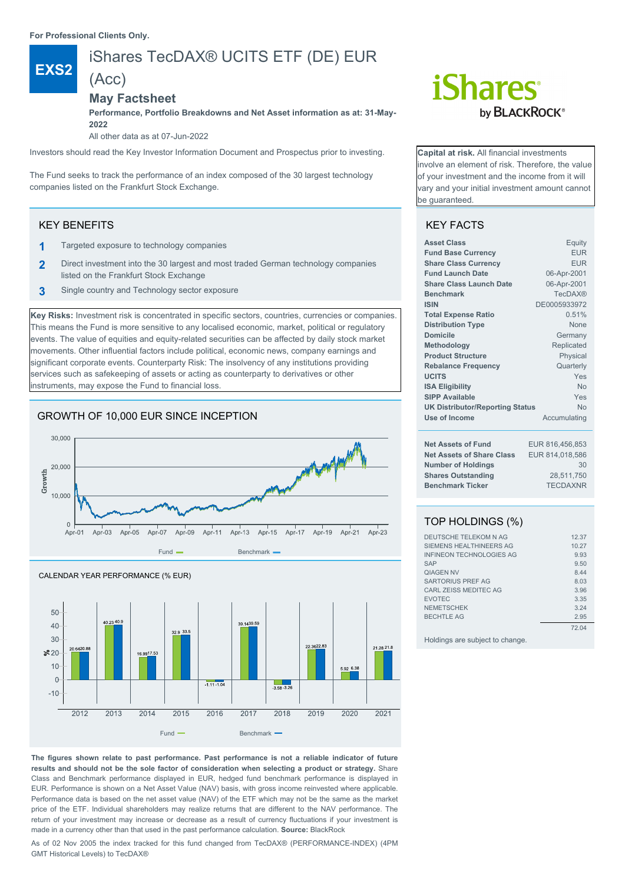**For Professional Clients Only.**

(Acc)

# **EXS2**

### iShares TecDAX® UCITS ETF (DE) EUR

#### **May Factsheet**

**Performance, Portfolio Breakdowns and Net Asset information as at: 31-May-2022**

All other data as at 07-Jun-2022

Investors should read the Key Investor Information Document and Prospectus prior to investing.

The Fund seeks to track the performance of an index composed of the 30 largest technology companies listed on the Frankfurt Stock Exchange.

#### KEY BENEFITS

- **1** Targeted exposure to technology companies
- **2** Direct investment into the 30 largest and most traded German technology companies listed on the Frankfurt Stock Exchange
- **3** Single country and Technology sector exposure

**Key Risks:** Investment risk is concentrated in specific sectors, countries, currencies or companies. This means the Fund is more sensitive to any localised economic, market, political or regulatory events. The value of equities and equity-related securities can be affected by daily stock market movements. Other influential factors include political, economic news, company earnings and significant corporate events. Counterparty Risk: The insolvency of any institutions providing services such as safekeeping of assets or acting as counterparty to derivatives or other instruments, may expose the Fund to financial loss.

#### GROWTH OF 10,000 EUR SINCE INCEPTION





#### **The figures shown relate to past performance. Past performance is not a reliable indicator of future results and should not be the sole factor of consideration when selecting a product or strategy.** Share Class and Benchmark performance displayed in EUR, hedged fund benchmark performance is displayed in EUR. Performance is shown on a Net Asset Value (NAV) basis, with gross income reinvested where applicable. Performance data is based on the net asset value (NAV) of the ETF which may not be the same as the market price of the ETF. Individual shareholders may realize returns that are different to the NAV performance. The return of your investment may increase or decrease as a result of currency fluctuations if your investment is made in a currency other than that used in the past performance calculation. **Source:** BlackRock

As of 02 Nov 2005 the index tracked for this fund changed from TecDAX® (PERFORMANCE-INDEX) (4PM GMT Historical Levels) to TecDAX®

# *iShares* by **BLACKROCK**<sup>®</sup>

**Capital at risk.** All financial investments nvolve an element of risk. Therefore, the value of your investment and the income from it will vary and your initial investment amount cannot be guaranteed.

#### KEY FACTS

| <b>Asset Class</b>                     | Equity          |
|----------------------------------------|-----------------|
| <b>Fund Base Currency</b>              | <b>EUR</b>      |
| <b>Share Class Currency</b>            | <b>EUR</b>      |
| <b>Fund Launch Date</b>                | 06-Apr-2001     |
| <b>Share Class Launch Date</b>         | 06-Apr-2001     |
| <b>Benchmark</b>                       | <b>TecDAX®</b>  |
| <b>ISIN</b>                            | DE0005933972    |
| <b>Total Expense Ratio</b>             | 0.51%           |
| <b>Distribution Type</b>               | <b>None</b>     |
| Domicile                               | Germany         |
| Methodology                            | Replicated      |
| <b>Product Structure</b>               | Physical        |
| <b>Rebalance Frequency</b>             | Quarterly       |
| <b>UCITS</b>                           | Yes             |
| <b>ISA Eligibility</b>                 | No              |
| <b>SIPP Available</b>                  | Yes             |
| <b>UK Distributor/Reporting Status</b> | <b>No</b>       |
| Use of Income                          | Accumulating    |
| <b>Net Assets of Fund</b>              | EUR 816,456,853 |
| <b>Net Assets of Share Class</b>       | EUR 814,018,586 |
| <b>Number of Holdings</b>              | 30              |
| <b>Shares Outstanding</b>              | 28,511,750      |
| <b>Benchmark Ticker</b>                | <b>TECDAXNR</b> |
|                                        |                 |

### TOP HOLDINGS (%)

| DEUTSCHE TELEKOM N AG           | 12.37 |
|---------------------------------|-------|
| SIEMENS HEALTHINEERS AG         | 10.27 |
| <b>INFINEON TECHNOLOGIES AG</b> | 9.93  |
| <b>SAP</b>                      | 9.50  |
| <b><i>OIAGEN NV</i></b>         | 8.44  |
| <b>SARTORIUS PREF AG</b>        | 8.03  |
| CARL ZEISS MEDITEC AG           | 3.96  |
| <b>EVOTEC</b>                   | 3.35  |
| <b>NEMETSCHEK</b>               | 3.24  |
| <b>BECHTLE AG</b>               | 2.95  |
|                                 | 72 04 |

Holdings are subject to change.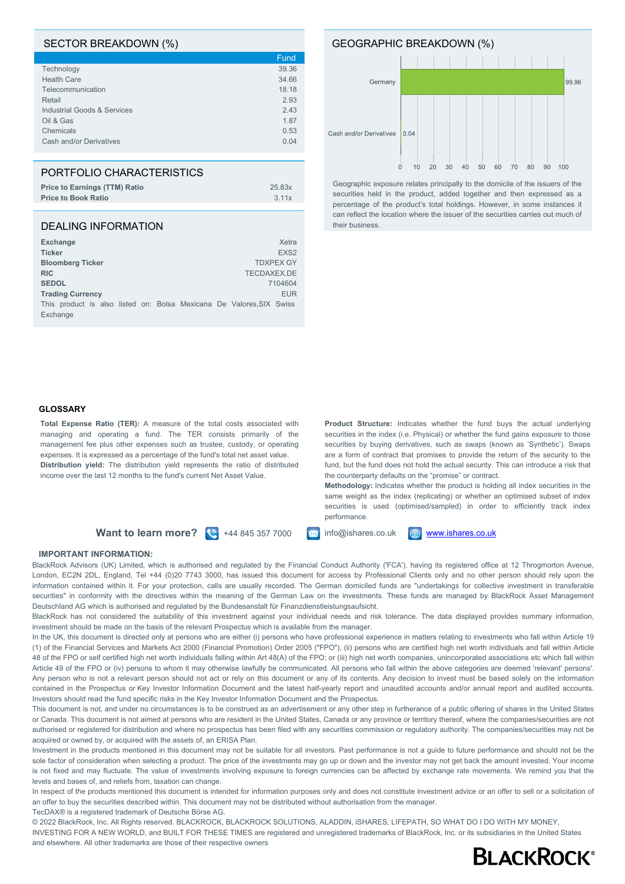#### SECTOR BREAKDOWN (%)

|                                        | Fund  |
|----------------------------------------|-------|
| Technology                             | 39.36 |
| <b>Health Care</b>                     | 34.66 |
| Telecommunication                      | 18.18 |
| Retail                                 | 2.93  |
| <b>Industrial Goods &amp; Services</b> | 2.43  |
| Oil & Gas                              | 1.87  |
| Chemicals                              | 0.53  |
| Cash and/or Derivatives                | 0.04  |
|                                        |       |

#### PORTFOLIO CHARACTERISTICS

| <b>Price to Earnings (TTM) Ratio</b> | 25.83x |
|--------------------------------------|--------|
| <b>Price to Book Ratio</b>           | 3.11x  |
|                                      |        |

#### DEALING INFORMATION

| <b>Exchange</b> |                         |  |  |  |                                                                      | Xetra            |
|-----------------|-------------------------|--|--|--|----------------------------------------------------------------------|------------------|
| <b>Ticker</b>   |                         |  |  |  |                                                                      | EXS <sub>2</sub> |
|                 | <b>Bloomberg Ticker</b> |  |  |  |                                                                      | <b>TDXPEX GY</b> |
| <b>RIC</b>      |                         |  |  |  | TECDAXEX.DE                                                          |                  |
| <b>SEDOL</b>    |                         |  |  |  |                                                                      | 7104604          |
|                 | <b>Trading Currency</b> |  |  |  |                                                                      | <b>EUR</b>       |
|                 |                         |  |  |  | This product is also listed on: Bolsa Mexicana De Valores, SIX Swiss |                  |
| Exchange        |                         |  |  |  |                                                                      |                  |

# GEOGRAPHIC BREAKDOWN (%) Germany



Geographic exposure relates principally to the domicile of the issuers of the securities held in the product, added together and then expressed as a percentage of the product's total holdings. However, in some instances it can reflect the location where the issuer of the securities carries out much of their business.

#### **GLOSSARY**

**Total Expense Ratio (TER):** A measure of the total costs associated with managing and operating a fund. The TER consists primarily of the management fee plus other expenses such as trustee, custody, or operating expenses. It is expressed as a percentage of the fund's total net asset value. **Distribution yield:** The distribution yield represents the ratio of distributed income over the last 12 months to the fund's current Net Asset Value.

**Product Structure:** Indicates whether the fund buys the actual underlying securities in the index (i.e. Physical) or whether the fund gains exposure to those securities by buying derivatives, such as swaps (known as 'Synthetic'). Swaps are a form of contract that promises to provide the return of the security to the fund, but the fund does not hold the actual security. This can introduce a risk that the counterparty defaults on the "promise" or contract.

**Methodology:** Indicates whether the product is holding all index securities in the same weight as the index (replicating) or whether an optimised subset of index securities is used (optimised/sampled) in order to efficiently track index performance.

**Want to learn more?**  $\left(\frac{1}{2}\right)$  +44 845 357 7000 **ight** info@ishares.co.uk **ightharmo[www.ishares.co.uk](http://www.ishares.co.uk)** 



#### **IMPORTANT INFORMATION:**

TecDAX® is a registered trademark of Deutsche Börse AG.

BlackRock Advisors (UK) Limited, which is authorised and regulated by the Financial Conduct Authority ('FCA'), having its registered office at 12 Throgmorton Avenue, London, EC2N 2DL, England, Tel +44 (0)20 7743 3000, has issued this document for access by Professional Clients only and no other person should rely upon the information contained within it. For your protection, calls are usually recorded. The German domiciled funds are "undertakings for collective investment in transferable securities" in conformity with the directives within the meaning of the German Law on the investments. These funds are managed by BlackRock Asset Management Deutschland AG which is authorised and regulated by the Bundesanstalt für Finanzdienstleistungsaufsicht.

BlackRock has not considered the suitability of this investment against your individual needs and risk tolerance. The data displayed provides summary information, investment should be made on the basis of the relevant Prospectus which is available from the manager.

In the UK, this document is directed only at persons who are either (i) persons who have professional experience in matters relating to investments who fall within Article 19 (1) of the Financial Services and Markets Act 2000 (Financial Promotion) Order 2005 ("FPO"), (ii) persons who are certified high net worth individuals and fall within Article 48 of the FPO or self certified high net worth individuals falling within Art 48(A) of the FPO; or (iii) high net worth companies, unincorporated associations etc which fall within Article 49 of the FPO or (iv) persons to whom it may otherwise lawfully be communicated. All persons who fall within the above categories are deemed 'relevant' persons'. Any person who is not a relevant person should not act or rely on this document or any of its contents. Any decision to invest must be based solely on the information contained in the Prospectus or Key Investor Information Document and the latest half-yearly report and unaudited accounts and/or annual report and audited accounts. Investors should read the fund specific risks in the Key Investor Information Document and the Prospectus.

This document is not, and under no circumstances is to be construed as an advertisement or any other step in furtherance of a public offering of shares in the United States or Canada. This document is not aimed at persons who are resident in the United States, Canada or any province or territory thereof, where the companies/securities are not authorised or registered for distribution and where no prospectus has been filed with any securities commission or regulatory authority. The companies/securities may not be acquired or owned by, or acquired with the assets of, an ERISA Plan.

Investment in the products mentioned in this document may not be suitable for all investors. Past performance is not a guide to future performance and should not be the sole factor of consideration when selecting a product. The price of the investments may go up or down and the investor may not get back the amount invested. Your income is not fixed and may fluctuate. The value of investments involving exposure to foreign currencies can be affected by exchange rate movements. We remind you that the levels and bases of, and reliefs from, taxation can change.

In respect of the products mentioned this document is intended for information purposes only and does not constitute investment advice or an offer to sell or a solicitation of an offer to buy the securities described within. This document may not be distributed without authorisation from the manager.

© 2022 BlackRock, Inc. All Rights reserved. BLACKROCK, BLACKROCK SOLUTIONS, ALADDIN, iSHARES, LIFEPATH, SO WHAT DO I DO WITH MY MONEY, INVESTING FOR A NEW WORLD, and BUILT FOR THESE TIMES are registered and unregistered trademarks of BlackRock, Inc. or its subsidiaries in the United States and elsewhere. All other trademarks are those of their respective owners